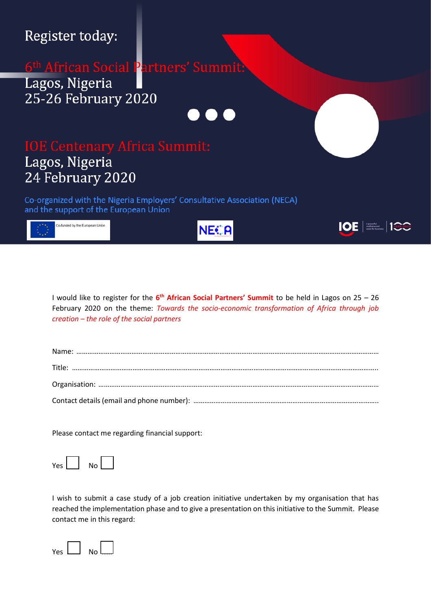## Register today:

## 6<sup>th</sup> African Social Partners' Summit: Lagos, Nigeria 25-26 February 2020



## Lagos, Nigeria

Co-organized with the Nigeria Employers' Consultative Association (NECA) and the support of the European Union



24 February 2020

**NE€A** 

**IOE** | Apowerful<br>
voice for business | 100-2020



Please contact me regarding financial support:

 $Yes$   $\begin{bmatrix} \n\end{bmatrix}$  No

I wish to submit a case study of a job creation initiative undertaken by my organisation that has reached the implementation phase and to give a presentation on this initiative to the Summit. Please contact me in this regard: